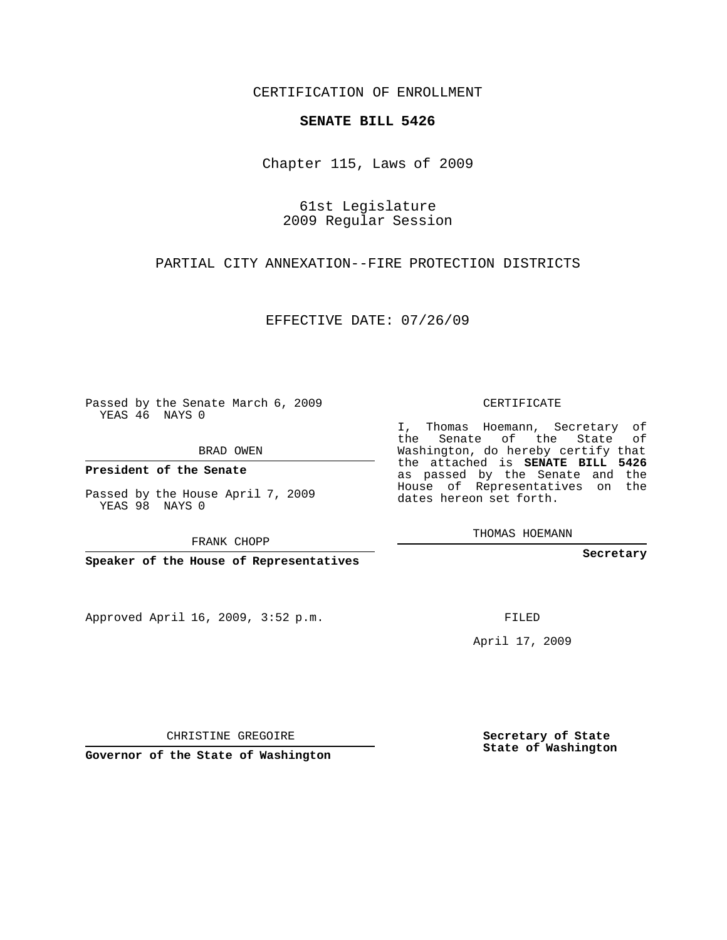CERTIFICATION OF ENROLLMENT

## **SENATE BILL 5426**

Chapter 115, Laws of 2009

61st Legislature 2009 Regular Session

PARTIAL CITY ANNEXATION--FIRE PROTECTION DISTRICTS

EFFECTIVE DATE: 07/26/09

Passed by the Senate March 6, 2009 YEAS 46 NAYS 0

BRAD OWEN

**President of the Senate**

Passed by the House April 7, 2009 YEAS 98 NAYS 0

FRANK CHOPP

**Speaker of the House of Representatives**

Approved April 16, 2009, 3:52 p.m.

CERTIFICATE

I, Thomas Hoemann, Secretary of the Senate of the State of Washington, do hereby certify that the attached is **SENATE BILL 5426** as passed by the Senate and the House of Representatives on the dates hereon set forth.

THOMAS HOEMANN

**Secretary**

FILED

April 17, 2009

**Secretary of State State of Washington**

CHRISTINE GREGOIRE

**Governor of the State of Washington**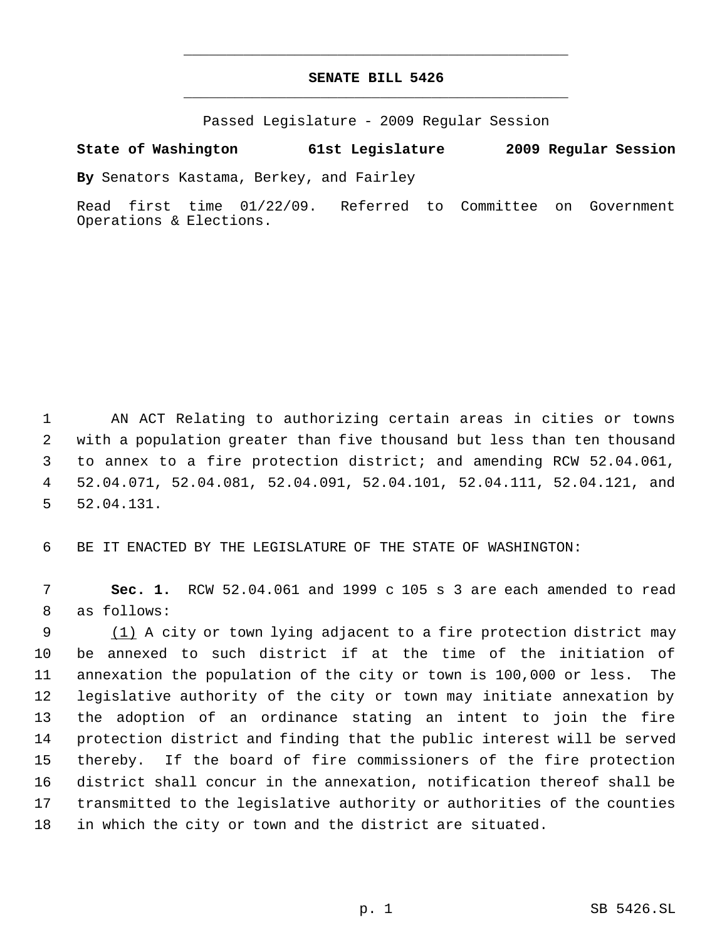## **SENATE BILL 5426** \_\_\_\_\_\_\_\_\_\_\_\_\_\_\_\_\_\_\_\_\_\_\_\_\_\_\_\_\_\_\_\_\_\_\_\_\_\_\_\_\_\_\_\_\_

\_\_\_\_\_\_\_\_\_\_\_\_\_\_\_\_\_\_\_\_\_\_\_\_\_\_\_\_\_\_\_\_\_\_\_\_\_\_\_\_\_\_\_\_\_

Passed Legislature - 2009 Regular Session

## **State of Washington 61st Legislature 2009 Regular Session**

**By** Senators Kastama, Berkey, and Fairley

Read first time 01/22/09. Referred to Committee on Government Operations & Elections.

 AN ACT Relating to authorizing certain areas in cities or towns with a population greater than five thousand but less than ten thousand to annex to a fire protection district; and amending RCW 52.04.061, 52.04.071, 52.04.081, 52.04.091, 52.04.101, 52.04.111, 52.04.121, and 52.04.131.

BE IT ENACTED BY THE LEGISLATURE OF THE STATE OF WASHINGTON:

 **Sec. 1.** RCW 52.04.061 and 1999 c 105 s 3 are each amended to read as follows:

9 (1) A city or town lying adjacent to a fire protection district may be annexed to such district if at the time of the initiation of annexation the population of the city or town is 100,000 or less. The legislative authority of the city or town may initiate annexation by the adoption of an ordinance stating an intent to join the fire protection district and finding that the public interest will be served thereby. If the board of fire commissioners of the fire protection district shall concur in the annexation, notification thereof shall be transmitted to the legislative authority or authorities of the counties in which the city or town and the district are situated.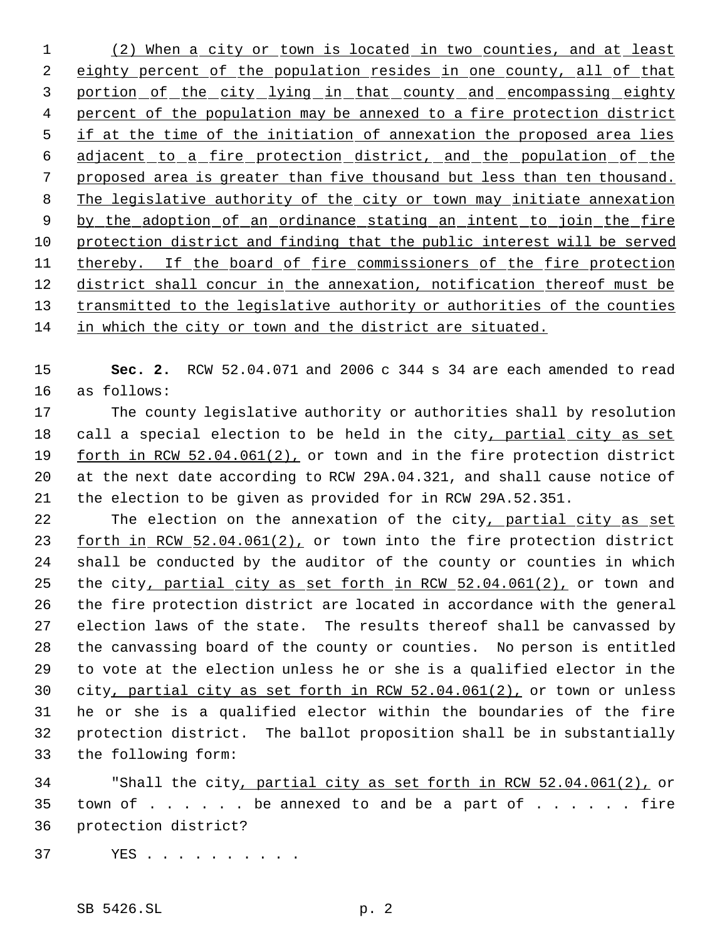1 (2) When a city or town is located in two counties, and at least 2 eighty percent of the population resides in one county, all of that 3 portion of the city lying in that county and encompassing eighty 4 percent of the population may be annexed to a fire protection district 5 if at the time of the initiation of annexation the proposed area lies 6 adjacent to a fire protection district, and the population of the 7 proposed area is greater than five thousand but less than ten thousand. 8 The legislative authority of the city or town may initiate annexation 9 by the adoption of an ordinance stating an intent to join the fire 10 protection district and finding that the public interest will be served 11 thereby. If the board of fire commissioners of the fire protection 12 district shall concur in the annexation, notification thereof must be 13 transmitted to the legislative authority or authorities of the counties 14 in which the city or town and the district are situated.

15 **Sec. 2.** RCW 52.04.071 and 2006 c 344 s 34 are each amended to read 16 as follows:

17 The county legislative authority or authorities shall by resolution 18 call a special election to be held in the city, partial city as set 19 forth in RCW 52.04.061(2), or town and in the fire protection district 20 at the next date according to RCW 29A.04.321, and shall cause notice of 21 the election to be given as provided for in RCW 29A.52.351.

22 The election on the annexation of the city, partial city as set 23 forth in RCW 52.04.061(2), or town into the fire protection district shall be conducted by the auditor of the county or counties in which 25 the city, partial city as set forth in RCW 52.04.061(2), or town and the fire protection district are located in accordance with the general election laws of the state. The results thereof shall be canvassed by the canvassing board of the county or counties. No person is entitled to vote at the election unless he or she is a qualified elector in the city, partial city as set forth in RCW 52.04.061(2), or town or unless he or she is a qualified elector within the boundaries of the fire protection district. The ballot proposition shall be in substantially the following form:

34 "Shall the city, partial city as set forth in RCW 52.04.061(2), or 35 town of  $\dots$   $\dots$  . be annexed to and be a part of  $\dots$  . . . . fire 36 protection district?

37 YES . . . . . . . . . .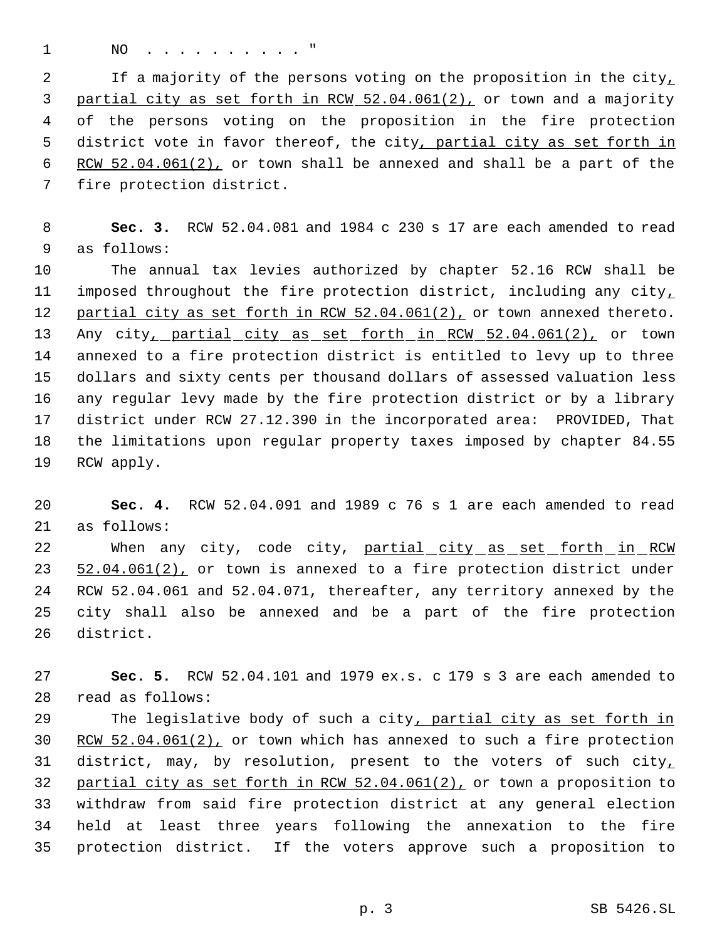1 NO . . . . . . . . . . "

2 If a majority of the persons voting on the proposition in the city, 3 partial city as set forth in RCW 52.04.061(2), or town and a majority of the persons voting on the proposition in the fire protection 5 district vote in favor thereof, the city, partial city as set forth in 6 RCW 52.04.061(2), or town shall be annexed and shall be a part of the fire protection district.

 **Sec. 3.** RCW 52.04.081 and 1984 c 230 s 17 are each amended to read as follows:

 The annual tax levies authorized by chapter 52.16 RCW shall be 11 imposed throughout the fire protection district, including any city, 12 partial city as set forth in RCW 52.04.061(2), or town annexed thereto. 13 Any city, partial city as set forth in RCW 52.04.061(2), or town annexed to a fire protection district is entitled to levy up to three dollars and sixty cents per thousand dollars of assessed valuation less any regular levy made by the fire protection district or by a library district under RCW 27.12.390 in the incorporated area: PROVIDED, That the limitations upon regular property taxes imposed by chapter 84.55 RCW apply.

 **Sec. 4.** RCW 52.04.091 and 1989 c 76 s 1 are each amended to read as follows:

22 When any city, code city, partial city as set forth in RCW 23 52.04.061(2), or town is annexed to a fire protection district under RCW 52.04.061 and 52.04.071, thereafter, any territory annexed by the city shall also be annexed and be a part of the fire protection district.

 **Sec. 5.** RCW 52.04.101 and 1979 ex.s. c 179 s 3 are each amended to read as follows:

29 The legislative body of such a city, partial city as set forth in 30 RCW 52.04.061(2), or town which has annexed to such a fire protection 31 district, may, by resolution, present to the voters of such city, partial city as set forth in RCW 52.04.061(2), or town a proposition to withdraw from said fire protection district at any general election held at least three years following the annexation to the fire protection district. If the voters approve such a proposition to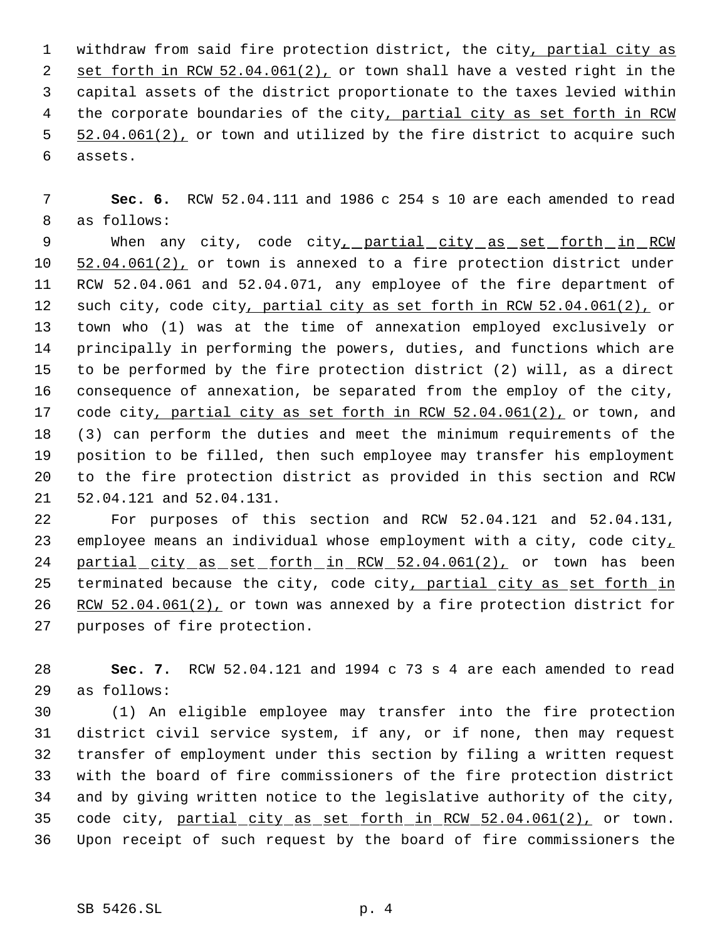1 withdraw from said fire protection district, the city, partial city as 2 set forth in RCW 52.04.061(2), or town shall have a vested right in the capital assets of the district proportionate to the taxes levied within 4 the corporate boundaries of the city, partial city as set forth in RCW 5 52.04.061(2), or town and utilized by the fire district to acquire such assets.

 **Sec. 6.** RCW 52.04.111 and 1986 c 254 s 10 are each amended to read as follows:

9 When any city, code city, partial city as set forth in RCW 10 52.04.061(2), or town is annexed to a fire protection district under RCW 52.04.061 and 52.04.071, any employee of the fire department of 12 such city, code city, partial city as set forth in RCW 52.04.061(2), or town who (1) was at the time of annexation employed exclusively or principally in performing the powers, duties, and functions which are to be performed by the fire protection district (2) will, as a direct consequence of annexation, be separated from the employ of the city, 17 code city, partial city as set forth in RCW 52.04.061(2), or town, and (3) can perform the duties and meet the minimum requirements of the position to be filled, then such employee may transfer his employment to the fire protection district as provided in this section and RCW 52.04.121 and 52.04.131.

 For purposes of this section and RCW 52.04.121 and 52.04.131, 23 employee means an individual whose employment with a city, code city, 24 partial city as set forth in RCW 52.04.061(2), or town has been 25 terminated because the city, code city, partial city as set forth in 26 RCW 52.04.061(2), or town was annexed by a fire protection district for purposes of fire protection.

 **Sec. 7.** RCW 52.04.121 and 1994 c 73 s 4 are each amended to read as follows:

 (1) An eligible employee may transfer into the fire protection district civil service system, if any, or if none, then may request transfer of employment under this section by filing a written request with the board of fire commissioners of the fire protection district and by giving written notice to the legislative authority of the city, 35 code city, partial city as set forth in RCW 52.04.061(2), or town. Upon receipt of such request by the board of fire commissioners the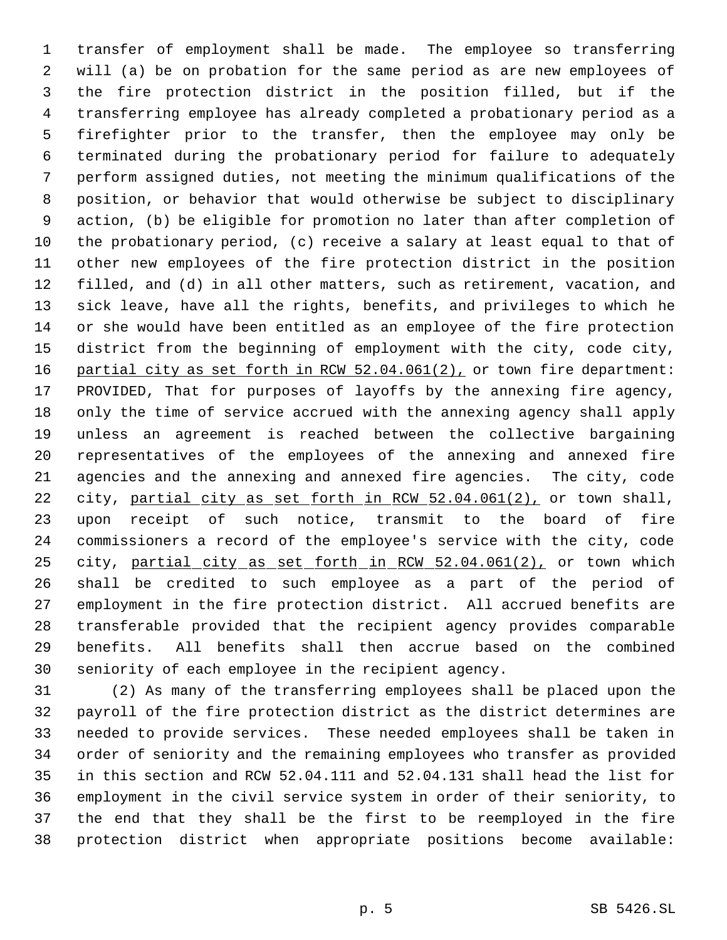transfer of employment shall be made. The employee so transferring will (a) be on probation for the same period as are new employees of the fire protection district in the position filled, but if the transferring employee has already completed a probationary period as a firefighter prior to the transfer, then the employee may only be terminated during the probationary period for failure to adequately perform assigned duties, not meeting the minimum qualifications of the position, or behavior that would otherwise be subject to disciplinary action, (b) be eligible for promotion no later than after completion of the probationary period, (c) receive a salary at least equal to that of other new employees of the fire protection district in the position filled, and (d) in all other matters, such as retirement, vacation, and sick leave, have all the rights, benefits, and privileges to which he or she would have been entitled as an employee of the fire protection district from the beginning of employment with the city, code city, 16 partial city as set forth in RCW 52.04.061(2), or town fire department: PROVIDED, That for purposes of layoffs by the annexing fire agency, only the time of service accrued with the annexing agency shall apply unless an agreement is reached between the collective bargaining representatives of the employees of the annexing and annexed fire agencies and the annexing and annexed fire agencies. The city, code 22 city, partial city as set forth in RCW 52.04.061(2), or town shall, upon receipt of such notice, transmit to the board of fire commissioners a record of the employee's service with the city, code 25 city, partial city as set forth in RCW 52.04.061(2), or town which shall be credited to such employee as a part of the period of employment in the fire protection district. All accrued benefits are transferable provided that the recipient agency provides comparable benefits. All benefits shall then accrue based on the combined seniority of each employee in the recipient agency.

 (2) As many of the transferring employees shall be placed upon the payroll of the fire protection district as the district determines are needed to provide services. These needed employees shall be taken in order of seniority and the remaining employees who transfer as provided in this section and RCW 52.04.111 and 52.04.131 shall head the list for employment in the civil service system in order of their seniority, to the end that they shall be the first to be reemployed in the fire protection district when appropriate positions become available: